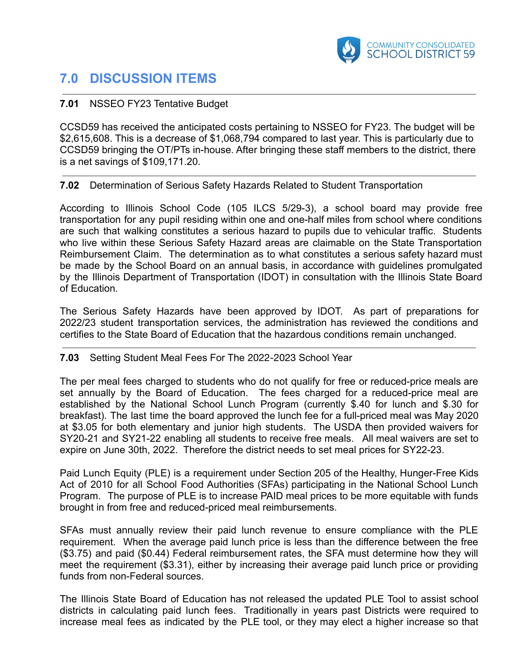

# **7.0 DISCUSSION ITEMS**

# **7.01** NSSEO FY23 Tentative Budget

CCSD59 has received the anticipated costs pertaining to NSSEO for FY23. The budget will be \$2,615,608. This is a decrease of \$1,068,794 compared to last year. This is particularly due to CCSD59 bringing the OT/PTs in-house. After bringing these staff members to the district, there is a net savings of \$109,171.20.

## **7.02** Determination of Serious Safety Hazards Related to Student Transportation

According to Illinois School Code (105 ILCS 5/29-3), a school board may provide free transportation for any pupil residing within one and one-half miles from school where conditions are such that walking constitutes a serious hazard to pupils due to vehicular traffic. Students who live within these Serious Safety Hazard areas are claimable on the State Transportation Reimbursement Claim. The determination as to what constitutes a serious safety hazard must be made by the School Board on an annual basis, in accordance with guidelines promulgated by the Illinois Department of Transportation (IDOT) in consultation with the Illinois State Board of Education.

The Serious Safety Hazards have been approved by IDOT. As part of preparations for 2022/23 student transportation services, the administration has reviewed the conditions and certifies to the State Board of Education that the hazardous conditions remain unchanged.

## **7.03** Setting Student Meal Fees For The 2022-2023 School Year

The per meal fees charged to students who do not qualify for free or reduced-price meals are set annually by the Board of Education. The fees charged for a reduced-price meal are established by the National School Lunch Program (currently \$.40 for lunch and \$.30 for breakfast). The last time the board approved the lunch fee for a full-priced meal was May 2020 at \$3.05 for both elementary and junior high students. The USDA then provided waivers for SY20-21 and SY21-22 enabling all students to receive free meals. All meal waivers are set to expire on June 30th, 2022. Therefore the district needs to set meal prices for SY22-23.

Paid Lunch Equity (PLE) is a requirement under Section 205 of the Healthy, Hunger-Free Kids Act of 2010 for all School Food Authorities (SFAs) participating in the National School Lunch Program. The purpose of PLE is to increase PAID meal prices to be more equitable with funds brought in from free and reduced-priced meal reimbursements.

SFAs must annually review their paid lunch revenue to ensure compliance with the PLE requirement. When the average paid lunch price is less than the difference between the free (\$3.75) and paid (\$0.44) Federal reimbursement rates, the SFA must determine how they will meet the requirement (\$3.31), either by increasing their average paid lunch price or providing funds from non-Federal sources.

The Illinois State Board of Education has not released the updated PLE Tool to assist school districts in calculating paid lunch fees. Traditionally in years past Districts were required to increase meal fees as indicated by the PLE tool, or they may elect a higher increase so that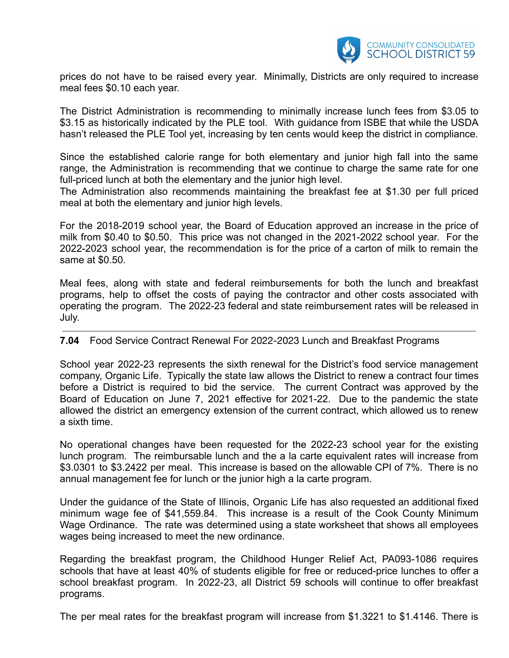

prices do not have to be raised every year. Minimally, Districts are only required to increase meal fees \$0.10 each year.

The District Administration is recommending to minimally increase lunch fees from \$3.05 to \$3.15 as historically indicated by the PLE tool. With guidance from ISBE that while the USDA hasn't released the PLE Tool yet, increasing by ten cents would keep the district in compliance.

Since the established calorie range for both elementary and junior high fall into the same range, the Administration is recommending that we continue to charge the same rate for one full-priced lunch at both the elementary and the junior high level.

The Administration also recommends maintaining the breakfast fee at \$1.30 per full priced meal at both the elementary and junior high levels.

For the 2018-2019 school year, the Board of Education approved an increase in the price of milk from \$0.40 to \$0.50. This price was not changed in the 2021-2022 school year. For the 2022-2023 school year, the recommendation is for the price of a carton of milk to remain the same at \$0.50.

Meal fees, along with state and federal reimbursements for both the lunch and breakfast programs, help to offset the costs of paying the contractor and other costs associated with operating the program. The 2022-23 federal and state reimbursement rates will be released in July.

## **7.04** Food Service Contract Renewal For 2022-2023 Lunch and Breakfast Programs

School year 2022-23 represents the sixth renewal for the District's food service management company, Organic Life. Typically the state law allows the District to renew a contract four times before a District is required to bid the service. The current Contract was approved by the Board of Education on June 7, 2021 effective for 2021-22. Due to the pandemic the state allowed the district an emergency extension of the current contract, which allowed us to renew a sixth time.

No operational changes have been requested for the 2022-23 school year for the existing lunch program. The reimbursable lunch and the a la carte equivalent rates will increase from \$3.0301 to \$3.2422 per meal. This increase is based on the allowable CPI of 7%. There is no annual management fee for lunch or the junior high a la carte program.

Under the guidance of the State of Illinois, Organic Life has also requested an additional fixed minimum wage fee of \$41,559.84. This increase is a result of the Cook County Minimum Wage Ordinance. The rate was determined using a state worksheet that shows all employees wages being increased to meet the new ordinance.

Regarding the breakfast program, the Childhood Hunger Relief Act, PA093-1086 requires schools that have at least 40% of students eligible for free or reduced-price lunches to offer a school breakfast program. In 2022-23, all District 59 schools will continue to offer breakfast programs.

The per meal rates for the breakfast program will increase from \$1.3221 to \$1.4146. There is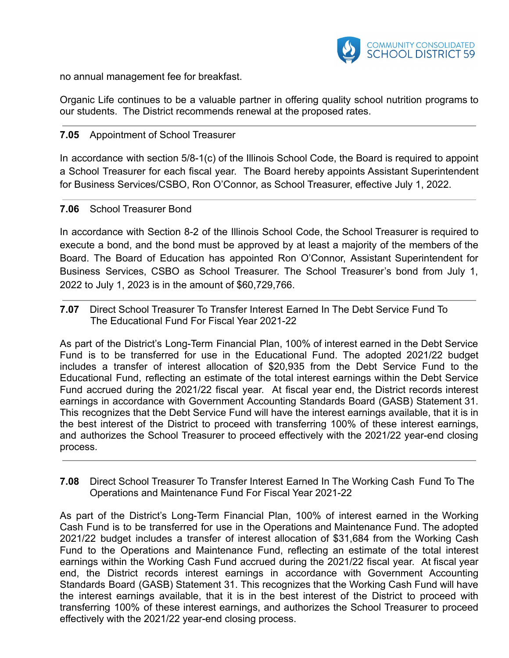

no annual management fee for breakfast.

Organic Life continues to be a valuable partner in offering quality school nutrition programs to our students. The District recommends renewal at the proposed rates.

## **7.05** Appointment of School Treasurer

In accordance with section 5/8-1(c) of the Illinois School Code, the Board is required to appoint a School Treasurer for each fiscal year. The Board hereby appoints Assistant Superintendent for Business Services/CSBO, Ron O'Connor, as School Treasurer, effective July 1, 2022.

### **7.06** School Treasurer Bond

In accordance with Section 8-2 of the Illinois School Code, the School Treasurer is required to execute a bond, and the bond must be approved by at least a majority of the members of the Board. The Board of Education has appointed Ron O'Connor, Assistant Superintendent for Business Services, CSBO as School Treasurer. The School Treasurer's bond from July 1, 2022 to July 1, 2023 is in the amount of \$60,729,766.

**7.07** Direct School Treasurer To Transfer Interest Earned In The Debt Service Fund To The Educational Fund For Fiscal Year 2021-22

As part of the District's Long-Term Financial Plan, 100% of interest earned in the Debt Service Fund is to be transferred for use in the Educational Fund. The adopted 2021/22 budget includes a transfer of interest allocation of \$20,935 from the Debt Service Fund to the Educational Fund, reflecting an estimate of the total interest earnings within the Debt Service Fund accrued during the 2021/22 fiscal year. At fiscal year end, the District records interest earnings in accordance with Government Accounting Standards Board (GASB) Statement 31. This recognizes that the Debt Service Fund will have the interest earnings available, that it is in the best interest of the District to proceed with transferring 100% of these interest earnings, and authorizes the School Treasurer to proceed effectively with the 2021/22 year-end closing process.

**7.08** Direct School Treasurer To Transfer Interest Earned In The Working Cash Fund To The Operations and Maintenance Fund For Fiscal Year 2021-22

As part of the District's Long-Term Financial Plan, 100% of interest earned in the Working Cash Fund is to be transferred for use in the Operations and Maintenance Fund. The adopted 2021/22 budget includes a transfer of interest allocation of \$31,684 from the Working Cash Fund to the Operations and Maintenance Fund, reflecting an estimate of the total interest earnings within the Working Cash Fund accrued during the 2021/22 fiscal year. At fiscal year end, the District records interest earnings in accordance with Government Accounting Standards Board (GASB) Statement 31. This recognizes that the Working Cash Fund will have the interest earnings available, that it is in the best interest of the District to proceed with transferring 100% of these interest earnings, and authorizes the School Treasurer to proceed effectively with the 2021/22 year-end closing process.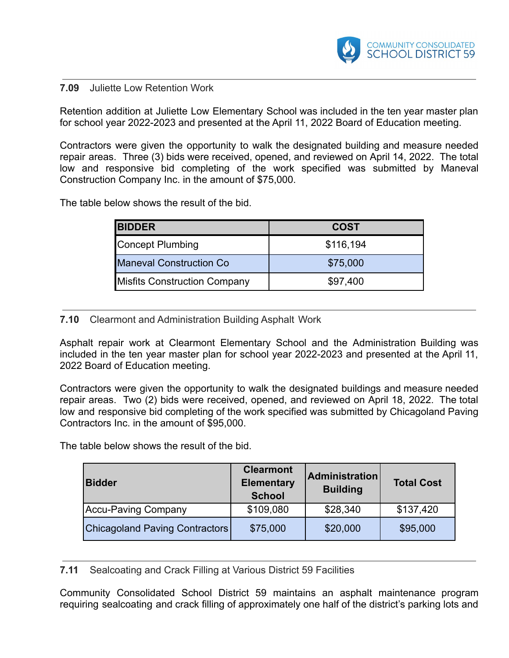

### **7.09** Juliette Low Retention Work

Retention addition at Juliette Low Elementary School was included in the ten year master plan for school year 2022-2023 and presented at the April 11, 2022 Board of Education meeting.

Contractors were given the opportunity to walk the designated building and measure needed repair areas. Three (3) bids were received, opened, and reviewed on April 14, 2022. The total low and responsive bid completing of the work specified was submitted by Maneval Construction Company Inc. in the amount of \$75,000.

The table below shows the result of the bid.

| <b>BIDDER</b>                       | <b>COST</b> |
|-------------------------------------|-------------|
| Concept Plumbing                    | \$116,194   |
| <b>Maneval Construction Co</b>      | \$75,000    |
| <b>Misfits Construction Company</b> | \$97,400    |

#### **7.10** Clearmont and Administration Building Asphalt Work

Asphalt repair work at Clearmont Elementary School and the Administration Building was included in the ten year master plan for school year 2022-2023 and presented at the April 11, 2022 Board of Education meeting.

Contractors were given the opportunity to walk the designated buildings and measure needed repair areas. Two (2) bids were received, opened, and reviewed on April 18, 2022. The total low and responsive bid completing of the work specified was submitted by Chicagoland Paving Contractors Inc. in the amount of \$95,000.

The table below shows the result of the bid.

| <b>Bidder</b>                  | <b>Clearmont</b><br><b>Elementary</b><br><b>School</b> | <b>Administration</b><br><b>Building</b> | <b>Total Cost</b> |
|--------------------------------|--------------------------------------------------------|------------------------------------------|-------------------|
| Accu-Paving Company            | \$109,080                                              | \$28,340                                 | \$137,420         |
| Chicagoland Paving Contractors | \$75,000                                               | \$20,000                                 | \$95,000          |

**7.11** Sealcoating and Crack Filling at Various District 59 Facilities

Community Consolidated School District 59 maintains an asphalt maintenance program requiring sealcoating and crack filling of approximately one half of the district's parking lots and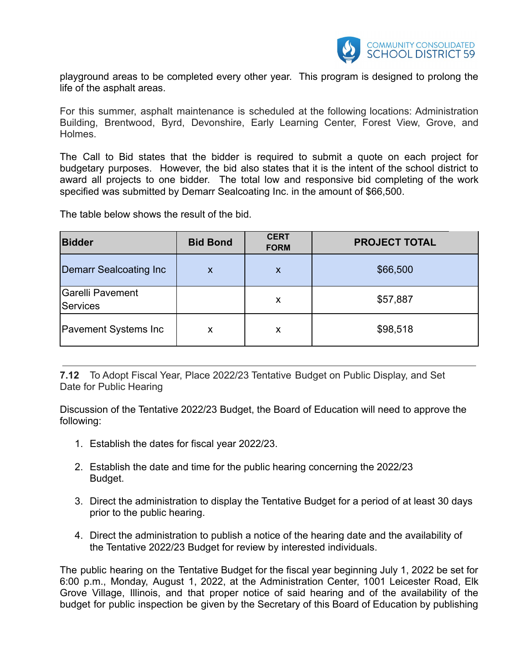

playground areas to be completed every other year. This program is designed to prolong the life of the asphalt areas.

For this summer, asphalt maintenance is scheduled at the following locations: Administration Building, Brentwood, Byrd, Devonshire, Early Learning Center, Forest View, Grove, and Holmes.

The Call to Bid states that the bidder is required to submit a quote on each project for budgetary purposes. However, the bid also states that it is the intent of the school district to award all projects to one bidder. The total low and responsive bid completing of the work specified was submitted by Demarr Sealcoating Inc. in the amount of \$66,500.

The table below shows the result of the bid.

| <b>Bidder</b>                | <b>Bid Bond</b> | <b>CERT</b><br><b>FORM</b> | <b>PROJECT TOTAL</b> |
|------------------------------|-----------------|----------------------------|----------------------|
| Demarr Sealcoating Inc       | X               | X                          | \$66,500             |
| Garelli Pavement<br>Services |                 | X                          | \$57,887             |
| <b>Pavement Systems Inc.</b> | X               | X                          | \$98,518             |

**7.12** To Adopt Fiscal Year, Place 2022/23 Tentative Budget on Public Display, and Set Date for Public Hearing

Discussion of the Tentative 2022/23 Budget, the Board of Education will need to approve the following:

- 1. Establish the dates for fiscal year 2022/23.
- 2. Establish the date and time for the public hearing concerning the 2022/23 Budget.
- 3. Direct the administration to display the Tentative Budget for a period of at least 30 days prior to the public hearing.
- 4. Direct the administration to publish a notice of the hearing date and the availability of the Tentative 2022/23 Budget for review by interested individuals.

The public hearing on the Tentative Budget for the fiscal year beginning July 1, 2022 be set for 6:00 p.m., Monday, August 1, 2022, at the Administration Center, 1001 Leicester Road, Elk Grove Village, Illinois, and that proper notice of said hearing and of the availability of the budget for public inspection be given by the Secretary of this Board of Education by publishing